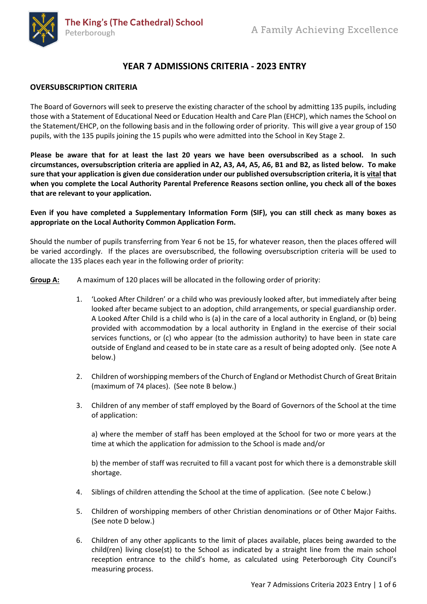

# **YEAR 7 ADMISSIONS CRITERIA - 2023 ENTRY**

## **OVERSUBSCRIPTION CRITERIA**

The Board of Governors will seek to preserve the existing character of the school by admitting 135 pupils, including those with a Statement of Educational Need or Education Health and Care Plan (EHCP), which names the School on the Statement/EHCP, on the following basis and in the following order of priority. This will give a year group of 150 pupils, with the 135 pupils joining the 15 pupils who were admitted into the School in Key Stage 2.

**Please be aware that for at least the last 20 years we have been oversubscribed as a school. In such circumstances, oversubscription criteria are applied in A2, A3, A4, A5, A6, B1 and B2, as listed below. To make sure that your application is given due consideration under our published oversubscription criteria, it is vital that when you complete the Local Authority Parental Preference Reasons section online, you check all of the boxes that are relevant to your application.**

**Even if you have completed a Supplementary Information Form (SIF), you can still check as many boxes as appropriate on the Local Authority Common Application Form.**

Should the number of pupils transferring from Year 6 not be 15, for whatever reason, then the places offered will be varied accordingly. If the places are oversubscribed, the following oversubscription criteria will be used to allocate the 135 places each year in the following order of priority:

**Group A:** A maximum of 120 places will be allocated in the following order of priority:

- 1. 'Looked After Children' or a child who was previously looked after, but immediately after being looked after became subject to an adoption, child arrangements, or special guardianship order. A Looked After Child is a child who is (a) in the care of a local authority in England, or (b) being provided with accommodation by a local authority in England in the exercise of their social services functions, or (c) who appear (to the admission authority) to have been in state care outside of England and ceased to be in state care as a result of being adopted only. (See note A below.)
- 2. Children of worshipping members of the Church of England or Methodist Church of Great Britain (maximum of 74 places). (See note B below.)
- 3. Children of any member of staff employed by the Board of Governors of the School at the time of application:

a) where the member of staff has been employed at the School for two or more years at the time at which the application for admission to the School is made and/or

b) the member of staff was recruited to fill a vacant post for which there is a demonstrable skill shortage.

- 4. Siblings of children attending the School at the time of application. (See note C below.)
- 5. Children of worshipping members of other Christian denominations or of Other Major Faiths. (See note D below.)
- 6. Children of any other applicants to the limit of places available, places being awarded to the child(ren) living close(st) to the School as indicated by a straight line from the main school reception entrance to the child's home, as calculated using Peterborough City Council's measuring process.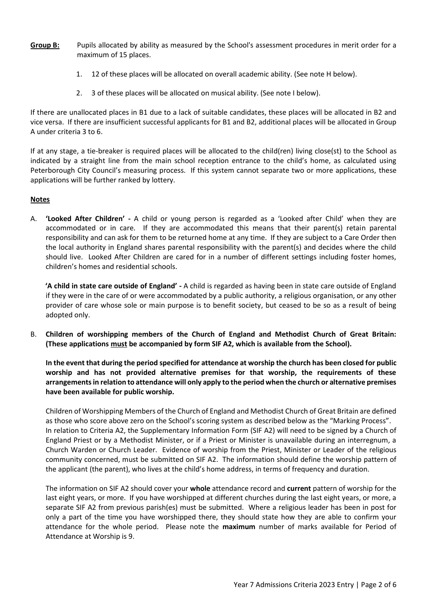- **Group B:** Pupils allocated by ability as measured by the School's assessment procedures in merit order for a maximum of 15 places.
	- 1. 12 of these places will be allocated on overall academic ability. (See note H below).
	- 2. 3 of these places will be allocated on musical ability. (See note I below).

If there are unallocated places in B1 due to a lack of suitable candidates, these places will be allocated in B2 and vice versa. If there are insufficient successful applicants for B1 and B2, additional places will be allocated in Group A under criteria 3 to 6.

If at any stage, a tie-breaker is required places will be allocated to the child(ren) living close(st) to the School as indicated by a straight line from the main school reception entrance to the child's home, as calculated using Peterborough City Council's measuring process. If this system cannot separate two or more applications, these applications will be further ranked by lottery.

## **Notes**

A. **'Looked After Children' -** A child or young person is regarded as a 'Looked after Child' when they are accommodated or in care. If they are accommodated this means that their parent(s) retain parental responsibility and can ask for them to be returned home at any time. If they are subject to a Care Order then the local authority in England shares parental responsibility with the parent(s) and decides where the child should live. Looked After Children are cared for in a number of different settings including foster homes, children's homes and residential schools.

**'A child in state care outside of England' -** A child is regarded as having been in state care outside of England if they were in the care of or were accommodated by a public authority, a religious organisation, or any other provider of care whose sole or main purpose is to benefit society, but ceased to be so as a result of being adopted only.

B. **Children of worshipping members of the Church of England and Methodist Church of Great Britain: (These applications must be accompanied by form SIF A2, which is available from the School).**

**In the event that during the period specified for attendance at worship the church has been closed for public worship and has not provided alternative premises for that worship, the requirements of these arrangements in relation to attendance will only apply to the period when the church or alternative premises have been available for public worship.**

Children of Worshipping Members of the Church of England and Methodist Church of Great Britain are defined as those who score above zero on the School's scoring system as described below as the "Marking Process". In relation to Criteria A2, the Supplementary Information Form (SIF A2) will need to be signed by a Church of England Priest or by a Methodist Minister, or if a Priest or Minister is unavailable during an interregnum, a Church Warden or Church Leader. Evidence of worship from the Priest, Minister or Leader of the religious community concerned, must be submitted on SIF A2. The information should define the worship pattern of the applicant (the parent), who lives at the child's home address, in terms of frequency and duration.

The information on SIF A2 should cover your **whole** attendance record and **current** pattern of worship for the last eight years, or more. If you have worshipped at different churches during the last eight years, or more, a separate SIF A2 from previous parish(es) must be submitted. Where a religious leader has been in post for only a part of the time you have worshipped there, they should state how they are able to confirm your attendance for the whole period. Please note the **maximum** number of marks available for Period of Attendance at Worship is 9.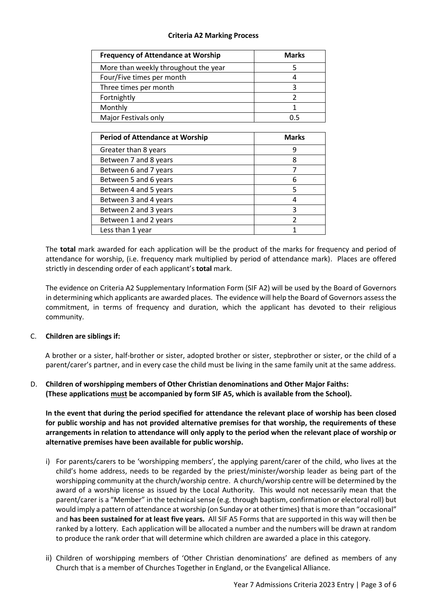# **Criteria A2 Marking Process**

| <b>Frequency of Attendance at Worship</b> | <b>Marks</b> |
|-------------------------------------------|--------------|
| More than weekly throughout the year      |              |
| Four/Five times per month                 |              |
| Three times per month                     |              |
| Fortnightly                               |              |
| Monthly                                   |              |
| Major Festivals only                      |              |

| <b>Period of Attendance at Worship</b> | <b>Marks</b> |
|----------------------------------------|--------------|
| Greater than 8 years                   |              |
| Between 7 and 8 years                  | 8            |
| Between 6 and 7 years                  |              |
| Between 5 and 6 years                  | 6            |
| Between 4 and 5 years                  | 5            |
| Between 3 and 4 years                  |              |
| Between 2 and 3 years                  | 3            |
| Between 1 and 2 years                  |              |
| Less than 1 year                       |              |

The **total** mark awarded for each application will be the product of the marks for frequency and period of attendance for worship, (i.e. frequency mark multiplied by period of attendance mark). Places are offered strictly in descending order of each applicant's **total** mark.

The evidence on Criteria A2 Supplementary Information Form (SIF A2) will be used by the Board of Governors in determining which applicants are awarded places. The evidence will help the Board of Governors assess the commitment, in terms of frequency and duration, which the applicant has devoted to their religious community.

#### C. **Children are siblings if:**

A brother or a sister, half-brother or sister, adopted brother or sister, stepbrother or sister, or the child of a parent/carer's partner, and in every case the child must be living in the same family unit at the same address.

# D. **Children of worshipping members of Other Christian denominations and Other Major Faiths: (These applications must be accompanied by form SIF A5, which is available from the School).**

**In the event that during the period specified for attendance the relevant place of worship has been closed for public worship and has not provided alternative premises for that worship, the requirements of these arrangements in relation to attendance will only apply to the period when the relevant place of worship or alternative premises have been available for public worship.**

- i) For parents/carers to be 'worshipping members', the applying parent/carer of the child, who lives at the child's home address, needs to be regarded by the priest/minister/worship leader as being part of the worshipping community at the church/worship centre. A church/worship centre will be determined by the award of a worship license as issued by the Local Authority. This would not necessarily mean that the parent/carer is a "Member" in the technical sense (e.g. through baptism, confirmation or electoral roll) but would imply a pattern of attendance at worship (on Sunday or at other times) that is more than "occasional" and **has been sustained for at least five years.** All SIF A5 Forms that are supported in this way will then be ranked by a lottery. Each application will be allocated a number and the numbers will be drawn at random to produce the rank order that will determine which children are awarded a place in this category.
- ii) Children of worshipping members of 'Other Christian denominations' are defined as members of any Church that is a member of Churches Together in England, or the Evangelical Alliance.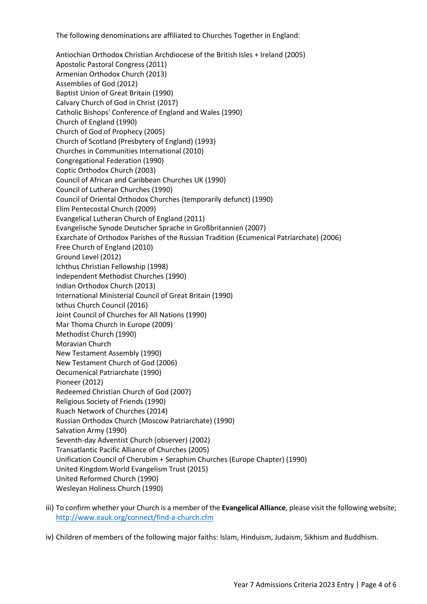The following denominations are affiliated to Churches Together in England:

Antiochian Orthodox Christian Archdiocese of the British Isles + Ireland (2005) Apostolic Pastoral Congress (2011) Armenian Orthodox Church (2013) Assemblies of God (2012) Baptist Union of Great Britain (1990) Calvary Church of God in Christ (2017) Catholic Bishops' Conference of England and Wales (1990) Church of England (1990) Church of God of Prophecy (2005) Church of Scotland (Presbytery of England) (1993) Churches in Communities International (2010) Congregational Federation (1990) Coptic Orthodox Church (2003) Council of African and Caribbean Churches UK (1990) Council of Lutheran Churches (1990) Council of Oriental Orthodox Churches (temporarily defunct) (1990) Elim Pentecostal Church (2009) Evangelical Lutheran Church of England (2011) Evangelische Synode Deutscher Sprache in Großbritannien (2007) Exarchate of Orthodox Parishes of the Russian Tradition (Ecumenical Patriarchate) (2006) Free Church of England (2010) Ground Level (2012) Ichthus Christian Fellowship (1998) Independent Methodist Churches (1990) Indian Orthodox Church (2013) International Ministerial Council of Great Britain (1990) Ixthus Church Council (2016) Joint Council of Churches for All Nations (1990) Mar Thoma Church in Europe (2009) Methodist Church (1990) Moravian Church New Testament Assembly (1990) New Testament Church of God (2006) Oecumenical Patriarchate (1990) Pioneer (2012) Redeemed Christian Church of God (2007) Religious Society of Friends (1990) Ruach Network of Churches (2014) Russian Orthodox Church (Moscow Patriarchate) (1990) Salvation Army (1990) Seventh-day Adventist Church (observer) (2002) Transatlantic Pacific Alliance of Churches (2005) Unification Council of Cherubim + Seraphim Churches (Europe Chapter) (1990) United Kingdom World Evangelism Trust (2015) United Reformed Church (1990) Wesleyan Holiness Church (1990)

- iii) To confirm whether your Church is a member of the **Evangelical Alliance**, please visit the following website; <http://www.eauk.org/connect/find-a-church.cfm>
- iv) Children of members of the following major faiths: Islam, Hinduism, Judaism, Sikhism and Buddhism.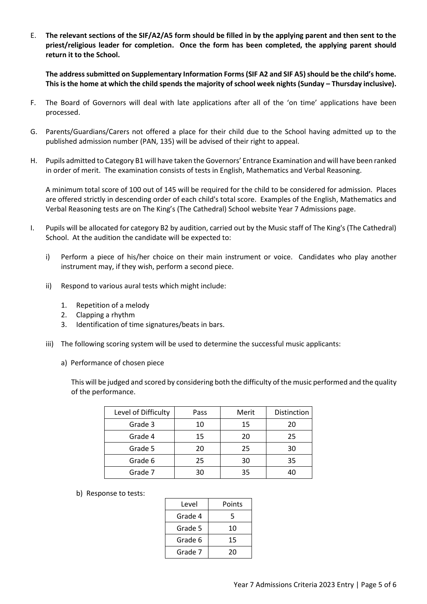E. **The relevant sections of the SIF/A2/A5 form should be filled in by the applying parent and then sent to the priest/religious leader for completion. Once the form has been completed, the applying parent should return it to the School.**

**The address submitted on Supplementary Information Forms(SIF A2 and SIF A5) should be the child's home. This is the home at which the child spends the majority of school week nights (Sunday – Thursday inclusive).** 

- F. The Board of Governors will deal with late applications after all of the 'on time' applications have been processed.
- G. Parents/Guardians/Carers not offered a place for their child due to the School having admitted up to the published admission number (PAN, 135) will be advised of their right to appeal.
- H. Pupils admitted to Category B1 will have taken the Governors' Entrance Examination and will have been ranked in order of merit. The examination consists of tests in English, Mathematics and Verbal Reasoning.

A minimum total score of 100 out of 145 will be required for the child to be considered for admission. Places are offered strictly in descending order of each child's total score. Examples of the English, Mathematics and Verbal Reasoning tests are on The King's (The Cathedral) School website Year 7 Admissions page.

- I. Pupils will be allocated for category B2 by audition, carried out by the Music staff of The King's (The Cathedral) School. At the audition the candidate will be expected to:
	- i) Perform a piece of his/her choice on their main instrument or voice. Candidates who play another instrument may, if they wish, perform a second piece.
	- ii) Respond to various aural tests which might include:
		- 1. Repetition of a melody
		- 2. Clapping a rhythm
		- 3. Identification of time signatures/beats in bars.
	- iii) The following scoring system will be used to determine the successful music applicants:
		- a) Performance of chosen piece

This will be judged and scored by considering both the difficulty of the music performed and the quality of the performance.

| Level of Difficulty | Pass | Merit | Distinction |
|---------------------|------|-------|-------------|
| Grade 3             | 10   | 15    | 20          |
| Grade 4             | 15   | 20    | 25          |
| Grade 5             | 20   | 25    | 30          |
| Grade 6             | 25   | 30    | 35          |
| Grade 7             | 30   | 35    | 40          |

b) Response to tests:

| Level   | Points |
|---------|--------|
| Grade 4 | 5      |
| Grade 5 | 10     |
| Grade 6 | 15     |
| Grade 7 | 20     |